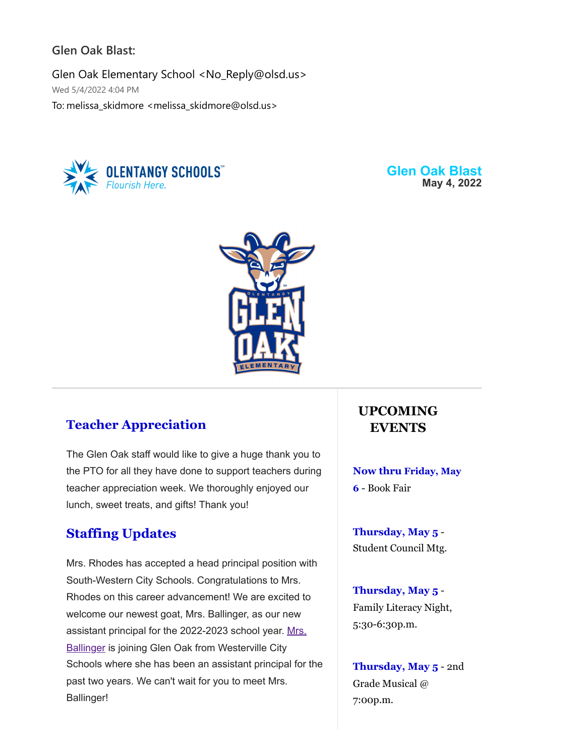### **Glen Oak Blast:**

Glen Oak Elementary School <No\_Reply@olsd.us> Wed 5/4/2022 4:04 PM To: melissa\_skidmore <melissa\_skidmore@olsd.us>



**Glen Oak Blast May 4, 2022**



## **Teacher Appreciation**

The Glen Oak staff would like to give a huge thank you to the PTO for all they have done to support teachers during teacher appreciation week. We thoroughly enjoyed our lunch, sweet treats, and gifts! Thank you!

## **Staffing Updates**

Mrs. Rhodes has accepted a head principal position with South-Western City Schools. Congratulations to Mrs. Rhodes on this career advancement! We are excited to welcome our newest goat, Mrs. Ballinger, as our new [assistant principal for the 2022-2023 school year. Mrs.](https://docs.google.com/document/d/1Z3EL0AnOjmkxd4ktjtwbfTcGDSjUTqsu5Ap7ABPN6C4/edit?usp=sharing) **Ballinger** is joining Glen Oak from Westerville City Schools where she has been an assistant principal for the past two years. We can't wait for you to meet Mrs. Ballinger!

# **UPCOMING EVENTS**

**Now thru Friday, May 6** - Book Fair

**Thursday, May 5** - Student Council Mtg.

**Thursday, May 5** - Family Literacy Night, 5:30-6:30p.m.

**Thursday, May 5** - 2nd Grade Musical @ 7:00p.m.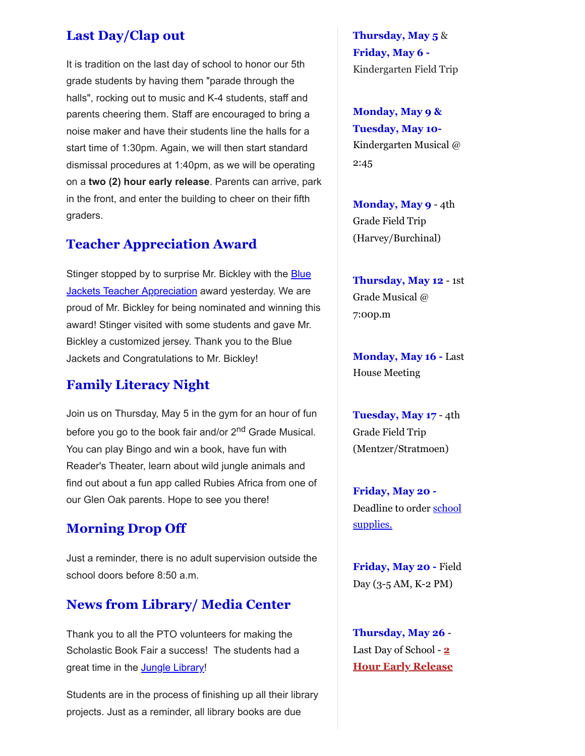## **Last Day/Clap out**

It is tradition on the last day of school to honor our 5th grade students by having them "parade through the halls", rocking out to music and K-4 students, staff and parents cheering them. Staff are encouraged to bring a noise maker and have their students line the halls for a start time of 1:30pm. Again, we will then start standard dismissal procedures at 1:40pm, as we will be operating on a **two (2) hour early release**. Parents can arrive, park in the front, and enter the building to cheer on their fifth graders.

#### **Teacher Appreciation Award**

Stinger stopped by to surprise Mr. Bickley with the **Blue Jackets Teacher Appreciation award yesterday. We are** proud of Mr. Bickley for being nominated and winning this award! Stinger visited with some students and gave Mr. Bickley a customized jersey. Thank you to the Blue Jackets and Congratulations to Mr. Bickley!

#### **Family Literacy Night**

Join us on Thursday, May 5 in the gym for an hour of fun before you go to the book fair and/or 2<sup>nd</sup> Grade Musical. You can play Bingo and win a book, have fun with Reader's Theater, learn about wild jungle animals and find out about a fun app called Rubies Africa from one of our Glen Oak parents. Hope to see you there!

#### **Morning Drop Off**

Just a reminder, there is no adult supervision outside the school doors before 8:50 a.m.

### **News from Library/ Media Center**

Thank you to all the PTO volunteers for making the Scholastic Book Fair a success! The students had a great time in the **[Jungle Library!](https://docs.google.com/document/d/1ZTDFbykdVJ_RmMdUsRCcnZ3v8vwERSeTApo9QLvOc7Y/edit?usp=sharing)** 

Students are in the process of finishing up all their library projects. Just as a reminder, all library books are due

**Thursday, May 5** & **Friday, May 6 -** Kindergarten Field Trip

**Monday, May 9 & Tuesday, May 10-** Kindergarten Musical @ 2:45

**Monday, May 9** - 4th Grade Field Trip (Harvey/Burchinal)

**Thursday, May 12** - 1st Grade Musical @ 7:00p.m

**Monday, May 16 -** Last House Meeting

**Tuesday, May 17** - 4th Grade Field Trip (Mentzer/Stratmoen)

**Friday, May 20 -** [Deadline to order school](https://goes.olentangy.k12.oh.us/default-board-post-page-glen-oak/~board/glen-oak-elementary-news/post/school-supply-kits) supplies.

**Friday, May 20 -** Field Day (3-5 AM, K-2 PM)

**Thursday, May 26** - Last Day of School - **2 Hour Early Release**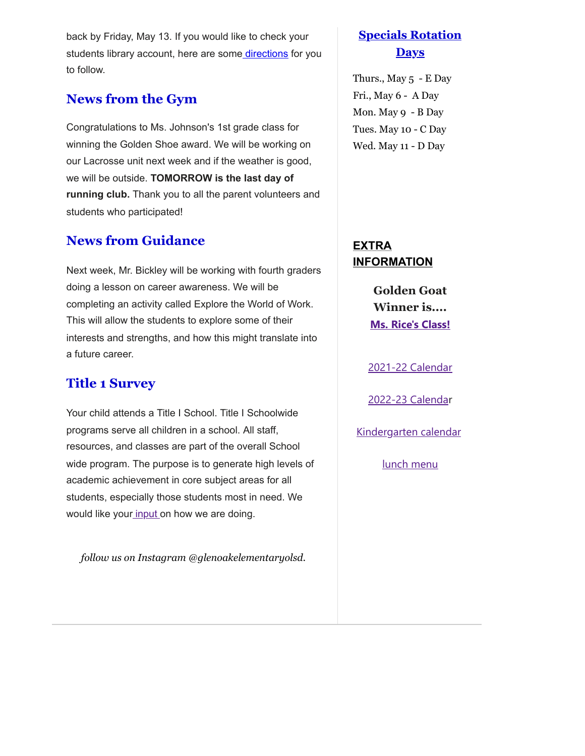back by Friday, May 13. If you would like to check your students library account, here are some [directions](https://docs.google.com/document/d/1PuFnz6YioN28i0K6JD8RPzIhImjQA3XNaWe2VbNlwO8/edit?usp=sharing) for you to follow.

# **News from the Gym**

Congratulations to Ms. Johnson's 1st grade class for winning the Golden Shoe award. We will be working on our Lacrosse unit next week and if the weather is good, we will be outside. **TOMORROW is the last day of running club.** Thank you to all the parent volunteers and students who participated!

## **News from Guidance**

Next week, Mr. Bickley will be working with fourth graders doing a lesson on career awareness. We will be completing an activity called Explore the World of Work. This will allow the students to explore some of their interests and strengths, and how this might translate into a future career.

## **Title 1 Survey**

Your child attends a Title I School. Title I Schoolwide programs serve all children in a school. All staff, resources, and classes are part of the overall School wide program. The purpose is to generate high levels of academic achievement in core subject areas for all students, especially those students most in need. We would like your [input o](https://olsd.az1.qualtrics.com/jfe/form/SV_3k54vBLZ8wNdkvI)n how we are doing.

*follow us on Instagram @glenoakelementaryolsd.*

## **Specials Rotation Days**

Thurs., May 5 - E Day Fri., May 6 - A Day Mon. May 9 - B Day Tues. May 10 - C Day Wed. May 11 - D Day

**EXTRA INFORMATION**

> **Golden Goat Winner is.... [Ms. Rice's Class!](https://docs.google.com/document/d/1DGEtQL0Qzd8TUXE4U-YVkNNrv5VgslqtV6LJh_k3c9U/edit?usp=sharing)**

[2021-22 Calendar](https://resources.finalsite.net/images/v1623338803/olentangyk12ohus/sz9j8nno6oh20v3wyps6/2021-2022DistrictCalendarApproved4-23-20_1updated.pdf)

[2022-23 Calenda](https://resources.finalsite.net/images/v1620050549/olentangyk12ohus/qd6qvmokm7y6lk1e4riu/2022-2023OLSDistrictCalendar.pdf)r

[Kindergarten calendar](https://resources.finalsite.net/images/v1610728354/olentangyk12ohus/suvljtjbbcrvefp8t0eg/Kindergarten2021-2022Calendar-FINAL11321.pdf)

[lunch menu](https://www.schoolnutritionandfitness.com/static/greenmenus/1605120015275702/2022/2022/520256-2021-2022_Cycle_Menu_updated_11_-_18-_21_effective_December.pdf)